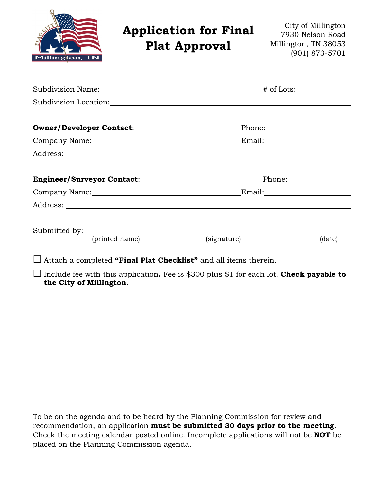| Millington, TN                      | <b>Application for Final</b><br><b>Plat Approval</b>                                                                                                                                                                           | City of Millington<br>7930 Nelson Road<br>Millington, TN 38053<br>(901) 873-5701 |
|-------------------------------------|--------------------------------------------------------------------------------------------------------------------------------------------------------------------------------------------------------------------------------|----------------------------------------------------------------------------------|
|                                     |                                                                                                                                                                                                                                |                                                                                  |
|                                     |                                                                                                                                                                                                                                |                                                                                  |
|                                     | Owner/Developer Contact: \\square\\square\square\square\square\square\square\square\square\square\square\square\square\square\square\square\square\square\square\square\square\square\square\square\square\square\square\squar |                                                                                  |
|                                     |                                                                                                                                                                                                                                |                                                                                  |
|                                     |                                                                                                                                                                                                                                |                                                                                  |
|                                     | Engineer/Surveyor Contact: Phone: Phone:                                                                                                                                                                                       |                                                                                  |
|                                     |                                                                                                                                                                                                                                |                                                                                  |
|                                     |                                                                                                                                                                                                                                |                                                                                  |
| Submitted by: <u>(printed name)</u> | (signature)                                                                                                                                                                                                                    | (date)                                                                           |

Attach a completed **"Final Plat Checklist"** and all items therein.

 Include fee with this application**.** Fee is \$300 plus \$1 for each lot. **Check payable to the City of Millington.**

To be on the agenda and to be heard by the Planning Commission for review and recommendation, an application **must be submitted 30 days prior to the meeting**. Check the meeting calendar posted online. Incomplete applications will not be **NOT** be placed on the Planning Commission agenda.